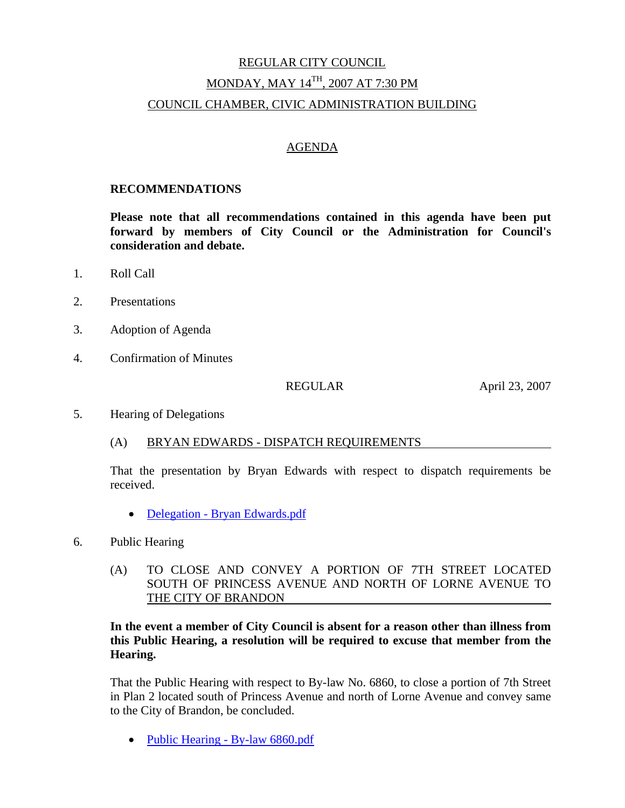# REGULAR CITY COUNCIL MONDAY, MAY 14TH, 2007 AT 7:30 PM COUNCIL CHAMBER, CIVIC ADMINISTRATION BUILDING

#### AGENDA

#### **RECOMMENDATIONS**

**Please note that all recommendations contained in this agenda have been put forward by members of City Council or the Administration for Council's consideration and debate.** 

- 1. Roll Call
- 2. Presentations
- 3. Adoption of Agenda
- 4. Confirmation of Minutes

REGULAR April 23, 2007

5. Hearing of Delegations

#### (A) BRYAN EDWARDS - DISPATCH REQUIREMENTS

That the presentation by Bryan Edwards with respect to dispatch requirements be received.

- Delegation Bryan Edwards.pdf
- 6. Public Hearing
	- (A) TO CLOSE AND CONVEY A PORTION OF 7TH STREET LOCATED SOUTH OF PRINCESS AVENUE AND NORTH OF LORNE AVENUE TO THE CITY OF BRANDON

### **In the event a member of City Council is absent for a reason other than illness from this Public Hearing, a resolution will be required to excuse that member from the Hearing.**

That the Public Hearing with respect to By-law No. 6860, to close a portion of 7th Street in Plan 2 located south of Princess Avenue and north of Lorne Avenue and convey same to the City of Brandon, be concluded.

• Public Hearing - By-law 6860.pdf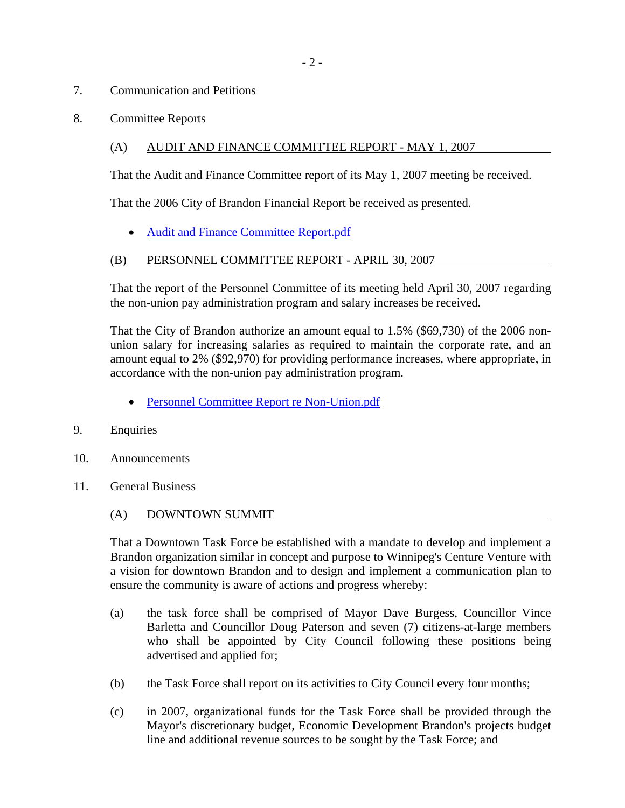### 7. Communication and Petitions

8. Committee Reports

# (A) AUDIT AND FINANCE COMMITTEE REPORT - MAY 1, 2007

That the Audit and Finance Committee report of its May 1, 2007 meeting be received.

That the 2006 City of Brandon Financial Report be received as presented.

• Audit and Finance Committee Report.pdf

### (B) PERSONNEL COMMITTEE REPORT - APRIL 30, 2007

That the report of the Personnel Committee of its meeting held April 30, 2007 regarding the non-union pay administration program and salary increases be received.

That the City of Brandon authorize an amount equal to 1.5% (\$69,730) of the 2006 nonunion salary for increasing salaries as required to maintain the corporate rate, and an amount equal to 2% (\$92,970) for providing performance increases, where appropriate, in accordance with the non-union pay administration program.

- Personnel Committee Report re Non-Union.pdf
- 9. Enquiries
- 10. Announcements
- 11. General Business
	- (A) DOWNTOWN SUMMIT

That a Downtown Task Force be established with a mandate to develop and implement a Brandon organization similar in concept and purpose to Winnipeg's Centure Venture with a vision for downtown Brandon and to design and implement a communication plan to ensure the community is aware of actions and progress whereby:

- (a) the task force shall be comprised of Mayor Dave Burgess, Councillor Vince Barletta and Councillor Doug Paterson and seven (7) citizens-at-large members who shall be appointed by City Council following these positions being advertised and applied for;
- (b) the Task Force shall report on its activities to City Council every four months;
- (c) in 2007, organizational funds for the Task Force shall be provided through the Mayor's discretionary budget, Economic Development Brandon's projects budget line and additional revenue sources to be sought by the Task Force; and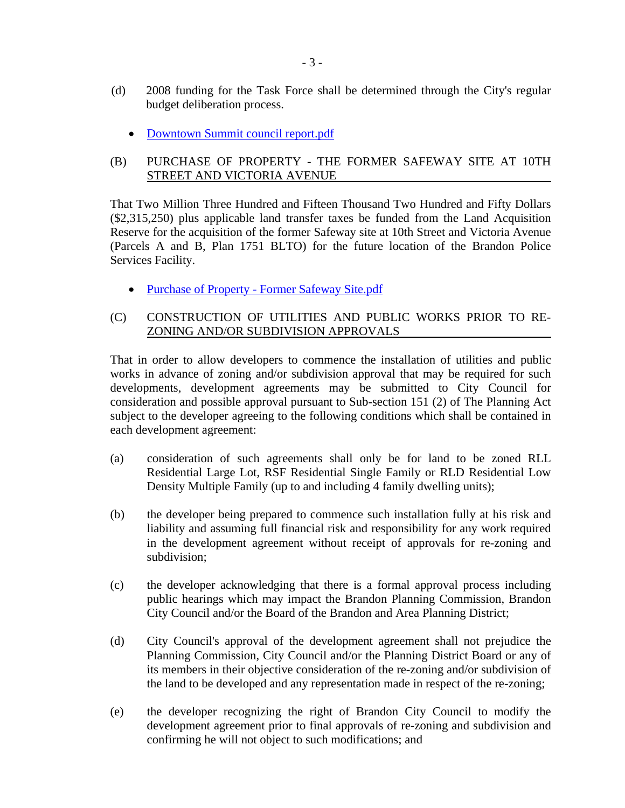- (d) 2008 funding for the Task Force shall be determined through the City's regular budget deliberation process.
	- Downtown Summit council report.pdf

### (B) PURCHASE OF PROPERTY - THE FORMER SAFEWAY SITE AT 10TH STREET AND VICTORIA AVENUE

That Two Million Three Hundred and Fifteen Thousand Two Hundred and Fifty Dollars (\$2,315,250) plus applicable land transfer taxes be funded from the Land Acquisition Reserve for the acquisition of the former Safeway site at 10th Street and Victoria Avenue (Parcels A and B, Plan 1751 BLTO) for the future location of the Brandon Police Services Facility.

• Purchase of Property - Former Safeway Site.pdf

### (C) CONSTRUCTION OF UTILITIES AND PUBLIC WORKS PRIOR TO RE-ZONING AND/OR SUBDIVISION APPROVALS

That in order to allow developers to commence the installation of utilities and public works in advance of zoning and/or subdivision approval that may be required for such developments, development agreements may be submitted to City Council for consideration and possible approval pursuant to Sub-section 151 (2) of The Planning Act subject to the developer agreeing to the following conditions which shall be contained in each development agreement:

- (a) consideration of such agreements shall only be for land to be zoned RLL Residential Large Lot, RSF Residential Single Family or RLD Residential Low Density Multiple Family (up to and including 4 family dwelling units);
- (b) the developer being prepared to commence such installation fully at his risk and liability and assuming full financial risk and responsibility for any work required in the development agreement without receipt of approvals for re-zoning and subdivision;
- (c) the developer acknowledging that there is a formal approval process including public hearings which may impact the Brandon Planning Commission, Brandon City Council and/or the Board of the Brandon and Area Planning District;
- (d) City Council's approval of the development agreement shall not prejudice the Planning Commission, City Council and/or the Planning District Board or any of its members in their objective consideration of the re-zoning and/or subdivision of the land to be developed and any representation made in respect of the re-zoning;
- (e) the developer recognizing the right of Brandon City Council to modify the development agreement prior to final approvals of re-zoning and subdivision and confirming he will not object to such modifications; and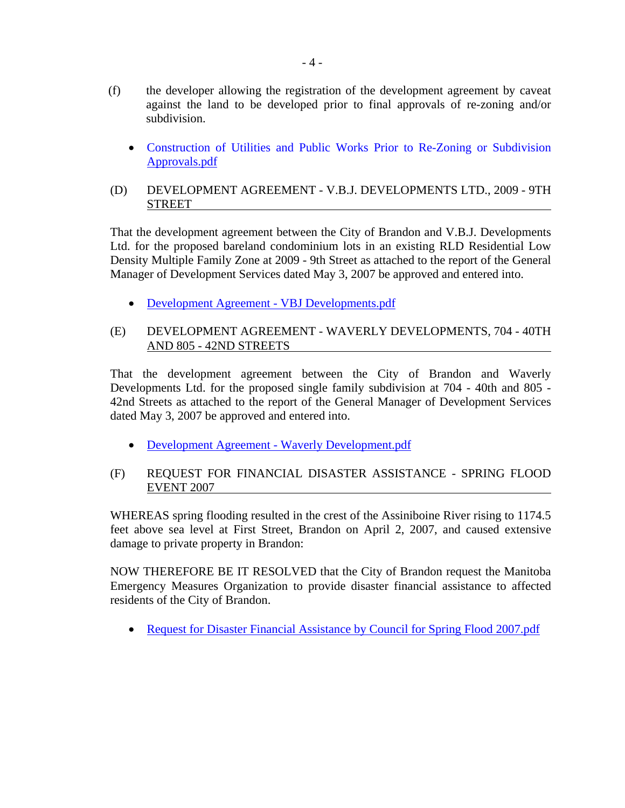- (f) the developer allowing the registration of the development agreement by caveat against the land to be developed prior to final approvals of re-zoning and/or subdivision.
	- Construction of Utilities and Public Works Prior to Re-Zoning or Subdivision Approvals.pdf
- (D) DEVELOPMENT AGREEMENT V.B.J. DEVELOPMENTS LTD., 2009 9TH STREET

That the development agreement between the City of Brandon and V.B.J. Developments Ltd. for the proposed bareland condominium lots in an existing RLD Residential Low Density Multiple Family Zone at 2009 - 9th Street as attached to the report of the General Manager of Development Services dated May 3, 2007 be approved and entered into.

• Development Agreement - VBJ Developments.pdf

### (E) DEVELOPMENT AGREEMENT - WAVERLY DEVELOPMENTS, 704 - 40TH AND 805 - 42ND STREETS

That the development agreement between the City of Brandon and Waverly Developments Ltd. for the proposed single family subdivision at 704 - 40th and 805 - 42nd Streets as attached to the report of the General Manager of Development Services dated May 3, 2007 be approved and entered into.

- Development Agreement Waverly Development.pdf
- (F) REQUEST FOR FINANCIAL DISASTER ASSISTANCE SPRING FLOOD EVENT 2007

WHEREAS spring flooding resulted in the crest of the Assiniboine River rising to 1174.5 feet above sea level at First Street, Brandon on April 2, 2007, and caused extensive damage to private property in Brandon:

NOW THEREFORE BE IT RESOLVED that the City of Brandon request the Manitoba Emergency Measures Organization to provide disaster financial assistance to affected residents of the City of Brandon.

• Request for Disaster Financial Assistance by Council for Spring Flood 2007.pdf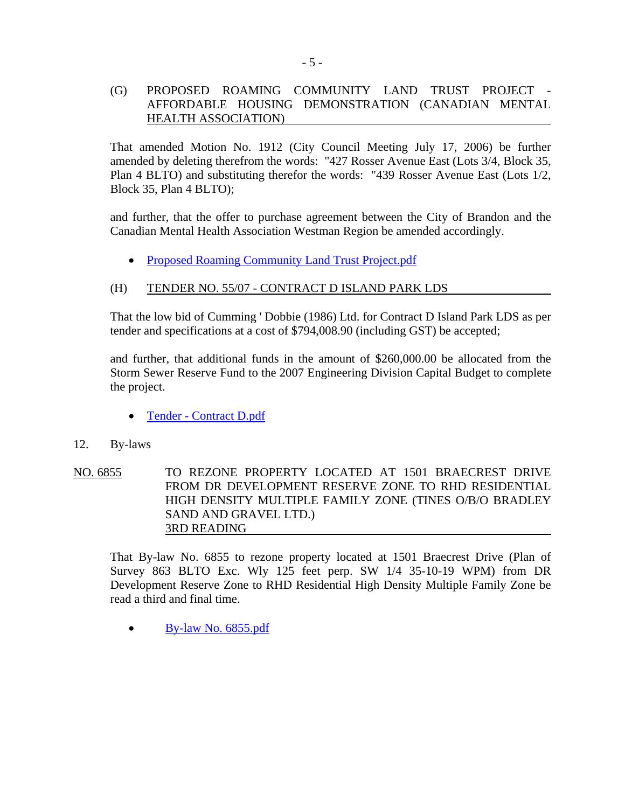#### (G) PROPOSED ROAMING COMMUNITY LAND TRUST PROJECT - AFFORDABLE HOUSING DEMONSTRATION (CANADIAN MENTAL HEALTH ASSOCIATION)

That amended Motion No. 1912 (City Council Meeting July 17, 2006) be further amended by deleting therefrom the words: "427 Rosser Avenue East (Lots 3/4, Block 35, Plan 4 BLTO) and substituting therefor the words: "439 Rosser Avenue East (Lots 1/2, Block 35, Plan 4 BLTO);

and further, that the offer to purchase agreement between the City of Brandon and the Canadian Mental Health Association Westman Region be amended accordingly.

• Proposed Roaming Community Land Trust Project.pdf

### (H) TENDER NO. 55/07 - CONTRACT D ISLAND PARK LDS

That the low bid of Cumming ' Dobbie (1986) Ltd. for Contract D Island Park LDS as per tender and specifications at a cost of \$794,008.90 (including GST) be accepted;

and further, that additional funds in the amount of \$260,000.00 be allocated from the Storm Sewer Reserve Fund to the 2007 Engineering Division Capital Budget to complete the project.

- Tender Contract D.pdf
- 12. By-laws
- NO. 6855 TO REZONE PROPERTY LOCATED AT 1501 BRAECREST DRIVE FROM DR DEVELOPMENT RESERVE ZONE TO RHD RESIDENTIAL HIGH DENSITY MULTIPLE FAMILY ZONE (TINES O/B/O BRADLEY SAND AND GRAVEL LTD.) 3RD READING

That By-law No. 6855 to rezone property located at 1501 Braecrest Drive (Plan of Survey 863 BLTO Exc. Wly 125 feet perp. SW 1/4 35-10-19 WPM) from DR Development Reserve Zone to RHD Residential High Density Multiple Family Zone be read a third and final time.

• By-law No. 6855.pdf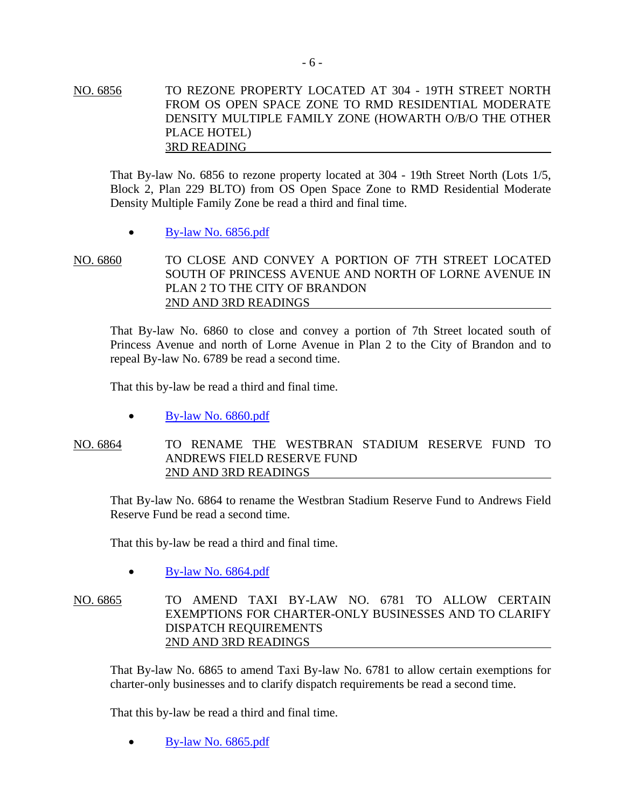NO. 6856 TO REZONE PROPERTY LOCATED AT 304 - 19TH STREET NORTH FROM OS OPEN SPACE ZONE TO RMD RESIDENTIAL MODERATE DENSITY MULTIPLE FAMILY ZONE (HOWARTH O/B/O THE OTHER PLACE HOTEL) 3RD READING

That By-law No. 6856 to rezone property located at 304 - 19th Street North (Lots 1/5, Block 2, Plan 229 BLTO) from OS Open Space Zone to RMD Residential Moderate Density Multiple Family Zone be read a third and final time.

• By-law No. 6856.pdf

NO. 6860 TO CLOSE AND CONVEY A PORTION OF 7TH STREET LOCATED SOUTH OF PRINCESS AVENUE AND NORTH OF LORNE AVENUE IN PLAN 2 TO THE CITY OF BRANDON 2ND AND 3RD READINGS

That By-law No. 6860 to close and convey a portion of 7th Street located south of Princess Avenue and north of Lorne Avenue in Plan 2 to the City of Brandon and to repeal By-law No. 6789 be read a second time.

That this by-law be read a third and final time.

• By-law No. 6860.pdf

NO. 6864 TO RENAME THE WESTBRAN STADIUM RESERVE FUND TO ANDREWS FIELD RESERVE FUND 2ND AND 3RD READINGS

That By-law No. 6864 to rename the Westbran Stadium Reserve Fund to Andrews Field Reserve Fund be read a second time.

That this by-law be read a third and final time.

• By-law No. 6864.pdf

NO. 6865 TO AMEND TAXI BY-LAW NO. 6781 TO ALLOW CERTAIN EXEMPTIONS FOR CHARTER-ONLY BUSINESSES AND TO CLARIFY DISPATCH REQUIREMENTS 2ND AND 3RD READINGS

That By-law No. 6865 to amend Taxi By-law No. 6781 to allow certain exemptions for charter-only businesses and to clarify dispatch requirements be read a second time.

That this by-law be read a third and final time.

• By-law No. 6865.pdf